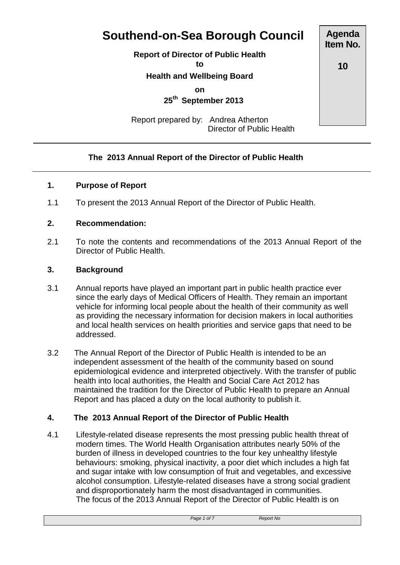# **Southend-on-Sea Borough Council**

**Report of Director of Public Health**

**to**

**Health and Wellbeing Board**

**on**

 **25th September 2013**

Report prepared by: Andrea Atherton Director of Public Health

#### **The 2013 Annual Report of the Director of Public Health**

#### **1. Purpose of Report**

1.1 To present the 2013 Annual Report of the Director of Public Health.

#### **2. Recommendation:**

2.1 To note the contents and recommendations of the 2013 Annual Report of the Director of Public Health.

#### **3. Background**

- 3.1 Annual reports have played an important part in public health practice ever since the early days of Medical Officers of Health. They remain an important vehicle for informing local people about the health of their community as well as providing the necessary information for decision makers in local authorities and local health services on health priorities and service gaps that need to be addressed.
- 3.2 The Annual Report of the Director of Public Health is intended to be an independent assessment of the health of the community based on sound epidemiological evidence and interpreted objectively. With the transfer of public health into local authorities, the Health and Social Care Act 2012 has maintained the tradition for the Director of Public Health to prepare an Annual Report and has placed a duty on the local authority to publish it.

#### **4. The 2013 Annual Report of the Director of Public Health**

4.1 Lifestyle-related disease represents the most pressing public health threat of modern times. The World Health Organisation attributes nearly 50% of the burden of illness in developed countries to the four key unhealthy lifestyle behaviours: smoking, physical inactivity, a poor diet which includes a high fat and sugar intake with low consumption of fruit and vegetables, and excessive alcohol consumption. Lifestyle-related diseases have a strong social gradient and disproportionately harm the most disadvantaged in communities. The focus of the 2013 Annual Report of the Director of Public Health is on

**10**

*Page 1 of 7 Report No*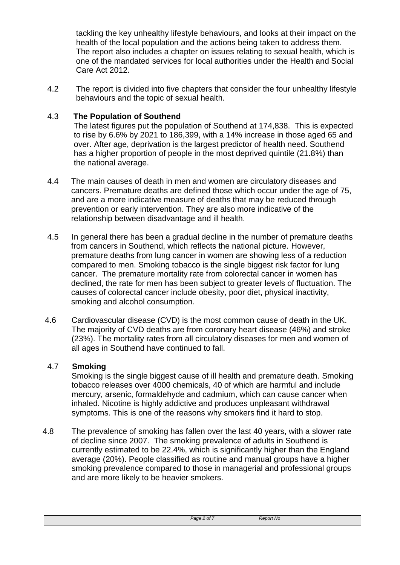tackling the key unhealthy lifestyle behaviours, and looks at their impact on the health of the local population and the actions being taken to address them. The report also includes a chapter on issues relating to sexual health, which is one of the mandated services for local authorities under the Health and Social Care Act 2012.

4.2 The report is divided into five chapters that consider the four unhealthy lifestyle behaviours and the topic of sexual health.

#### 4.3 **The Population of Southend**

The latest figures put the population of Southend at 174,838. This is expected to rise by 6.6% by 2021 to 186,399, with a 14% increase in those aged 65 and over. After age, deprivation is the largest predictor of health need. Southend has a higher proportion of people in the most deprived quintile (21.8%) than the national average.

- 4.4 The main causes of death in men and women are circulatory diseases and cancers. Premature deaths are defined those which occur under the age of 75, and are a more indicative measure of deaths that may be reduced through prevention or early intervention. They are also more indicative of the relationship between disadvantage and ill health.
- 4.5 In general there has been a gradual decline in the number of premature deaths from cancers in Southend, which reflects the national picture. However, premature deaths from lung cancer in women are showing less of a reduction compared to men. Smoking tobacco is the single biggest risk factor for lung cancer. The premature mortality rate from colorectal cancer in women has declined, the rate for men has been subject to greater levels of fluctuation. The causes of colorectal cancer include obesity, poor diet, physical inactivity, smoking and alcohol consumption.
- 4.6 Cardiovascular disease (CVD) is the most common cause of death in the UK. The majority of CVD deaths are from coronary heart disease (46%) and stroke (23%). The mortality rates from all circulatory diseases for men and women of all ages in Southend have continued to fall.

#### 4.7 **Smoking**

Smoking is the single biggest cause of ill health and premature death. Smoking tobacco releases over 4000 chemicals, 40 of which are harmful and include mercury, arsenic, formaldehyde and cadmium, which can cause cancer when inhaled. Nicotine is highly addictive and produces unpleasant withdrawal symptoms. This is one of the reasons why smokers find it hard to stop.

4.8 The prevalence of smoking has fallen over the last 40 years, with a slower rate of decline since 2007. The smoking prevalence of adults in Southend is currently estimated to be 22.4%, which is significantly higher than the England average (20%). People classified as routine and manual groups have a higher smoking prevalence compared to those in managerial and professional groups and are more likely to be heavier smokers.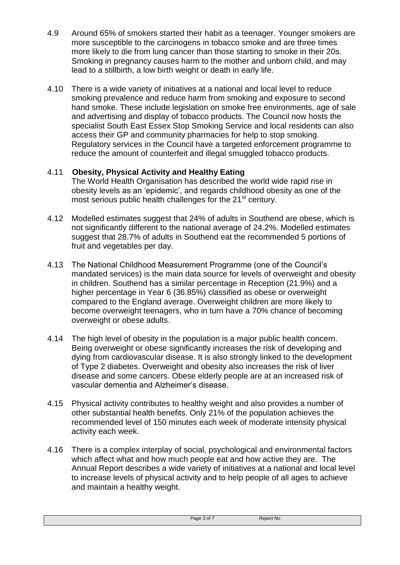- 4.9 Around 65% of smokers started their habit as a teenager. Younger smokers are more susceptible to the carcinogens in tobacco smoke and are three times more likely to die from lung cancer than those starting to smoke in their 20s. Smoking in pregnancy causes harm to the mother and unborn child, and may lead to a stillbirth, a low birth weight or death in early life.
- 4.10 There is a wide variety of initiatives at a national and local level to reduce smoking prevalence and reduce harm from smoking and exposure to second hand smoke. These include legislation on smoke free environments, age of sale and advertising and display of tobacco products. The Council now hosts the specialist South East Essex Stop Smoking Service and local residents can also access their GP and community pharmacies for help to stop smoking. Regulatory services in the Council have a targeted enforcement programme to reduce the amount of counterfeit and illegal smuggled tobacco products.

# 4.11 **Obesity, Physical Activity and Healthy Eating**

The World Health Organisation has described the world wide rapid rise in obesity levels as an 'epidemic', and regards childhood obesity as one of the most serious public health challenges for the 21<sup>st</sup> century.

- 4.12 Modelled estimates suggest that 24% of adults in Southend are obese, which is not significantly different to the national average of 24.2%. Modelled estimates suggest that 28.7% of adults in Southend eat the recommended 5 portions of fruit and vegetables per day.
- 4.13 The National Childhood Measurement Programme (one of the Council's mandated services) is the main data source for levels of overweight and obesity in children. Southend has a similar percentage in Reception (21.9%) and a higher percentage in Year 6 (36.85%) classified as obese or overweight compared to the England average. Overweight children are more likely to become overweight teenagers, who in turn have a 70% chance of becoming overweight or obese adults.
- 4.14 The high level of obesity in the population is a major public health concern. Being overweight or obese significantly increases the risk of developing and dying from cardiovascular disease. It is also strongly linked to the development of Type 2 diabetes. Overweight and obesity also increases the risk of liver disease and some cancers. Obese elderly people are at an increased risk of vascular dementia and Alzheimer's disease.
- 4.15 Physical activity contributes to healthy weight and also provides a number of other substantial health benefits. Only 21% of the population achieves the recommended level of 150 minutes each week of moderate intensity physical activity each week.
- 4.16 There is a complex interplay of social, psychological and environmental factors which affect what and how much people eat and how active they are. The Annual Report describes a wide variety of initiatives at a national and local level to increase levels of physical activity and to help people of all ages to achieve and maintain a healthy weight.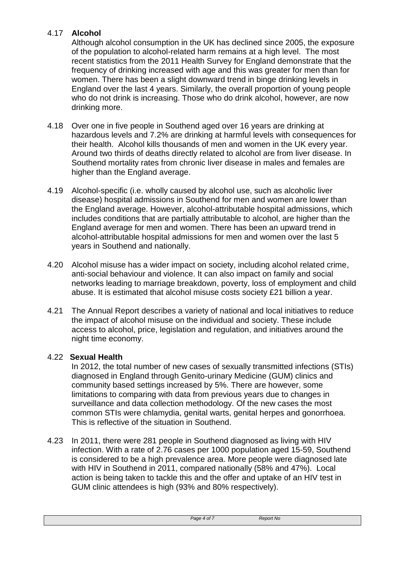# 4.17 **Alcohol**

Although alcohol consumption in the UK has declined since 2005, the exposure of the population to alcohol-related harm remains at a high level. The most recent statistics from the 2011 Health Survey for England demonstrate that the frequency of drinking increased with age and this was greater for men than for women. There has been a slight downward trend in binge drinking levels in England over the last 4 years. Similarly, the overall proportion of young people who do not drink is increasing. Those who do drink alcohol, however, are now drinking more.

- 4.18 Over one in five people in Southend aged over 16 years are drinking at hazardous levels and 7.2% are drinking at harmful levels with consequences for their health. Alcohol kills thousands of men and women in the UK every year. Around two thirds of deaths directly related to alcohol are from liver disease. In Southend mortality rates from chronic liver disease in males and females are higher than the England average.
- 4.19 Alcohol-specific (i.e. wholly caused by alcohol use, such as alcoholic liver disease) hospital admissions in Southend for men and women are lower than the England average. However, alcohol-attributable hospital admissions, which includes conditions that are partially attributable to alcohol, are higher than the England average for men and women. There has been an upward trend in alcohol-attributable hospital admissions for men and women over the last 5 years in Southend and nationally.
- 4.20 Alcohol misuse has a wider impact on society, including alcohol related crime, anti-social behaviour and violence. It can also impact on family and social networks leading to marriage breakdown, poverty, loss of employment and child abuse. It is estimated that alcohol misuse costs society £21 billion a year.
- 4.21 The Annual Report describes a variety of national and local initiatives to reduce the impact of alcohol misuse on the individual and society. These include access to alcohol, price, legislation and regulation, and initiatives around the night time economy.

# 4.22 **Sexual Health**

In 2012, the total number of new cases of sexually transmitted infections (STIs) diagnosed in England through Genito-urinary Medicine (GUM) clinics and community based settings increased by 5%. There are however, some limitations to comparing with data from previous years due to changes in surveillance and data collection methodology. Of the new cases the most common STIs were chlamydia, genital warts, genital herpes and gonorrhoea. This is reflective of the situation in Southend.

4.23 In 2011, there were 281 people in Southend diagnosed as living with HIV infection. With a rate of 2.76 cases per 1000 population aged 15-59, Southend is considered to be a high prevalence area. More people were diagnosed late with HIV in Southend in 2011, compared nationally (58% and 47%). Local action is being taken to tackle this and the offer and uptake of an HIV test in GUM clinic attendees is high (93% and 80% respectively).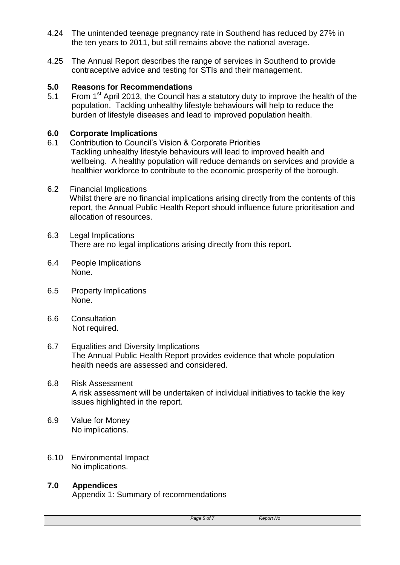- 4.24 The unintended teenage pregnancy rate in Southend has reduced by 27% in the ten years to 2011, but still remains above the national average.
- 4.25 The Annual Report describes the range of services in Southend to provide contraceptive advice and testing for STIs and their management.

### **5.0 Reasons for Recommendations**

5.1 From  $1<sup>st</sup>$  April 2013, the Council has a statutory duty to improve the health of the population. Tackling unhealthy lifestyle behaviours will help to reduce the burden of lifestyle diseases and lead to improved population health.

### **6.0 Corporate Implications**

- 6.1 Contribution to Council's Vision & Corporate Priorities Tackling unhealthy lifestyle behaviours will lead to improved health and wellbeing. A healthy population will reduce demands on services and provide a healthier workforce to contribute to the economic prosperity of the borough.
- 6.2 Financial Implications Whilst there are no financial implications arising directly from the contents of this report, the Annual Public Health Report should influence future prioritisation and allocation of resources.
- 6.3 Legal Implications There are no legal implications arising directly from this report.
- 6.4 People Implications None.
- 6.5 Property Implications None.
- 6.6 Consultation Not required.
- 6.7 Equalities and Diversity Implications The Annual Public Health Report provides evidence that whole population health needs are assessed and considered.
- 6.8 Risk Assessment A risk assessment will be undertaken of individual initiatives to tackle the key issues highlighted in the report.
- 6.9 Value for Money No implications.
- 6.10 Environmental Impact No implications.

# **7.0 Appendices**

Appendix 1: Summary of recommendations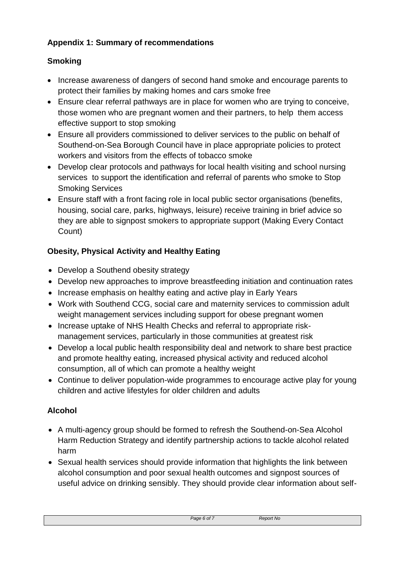# **Appendix 1: Summary of recommendations**

# **Smoking**

- Increase awareness of dangers of second hand smoke and encourage parents to protect their families by making homes and cars smoke free
- Ensure clear referral pathways are in place for women who are trying to conceive, those women who are pregnant women and their partners, to help them access effective support to stop smoking
- Ensure all providers commissioned to deliver services to the public on behalf of Southend-on-Sea Borough Council have in place appropriate policies to protect workers and visitors from the effects of tobacco smoke
- Develop clear protocols and pathways for local health visiting and school nursing services to support the identification and referral of parents who smoke to Stop Smoking Services
- Ensure staff with a front facing role in local public sector organisations (benefits, housing, social care, parks, highways, leisure) receive training in brief advice so they are able to signpost smokers to appropriate support (Making Every Contact Count)

# **Obesity, Physical Activity and Healthy Eating**

- Develop a Southend obesity strategy
- Develop new approaches to improve breastfeeding initiation and continuation rates
- Increase emphasis on healthy eating and active play in Early Years
- Work with Southend CCG, social care and maternity services to commission adult weight management services including support for obese pregnant women
- Increase uptake of NHS Health Checks and referral to appropriate riskmanagement services, particularly in those communities at greatest risk
- Develop a local public health responsibility deal and network to share best practice and promote healthy eating, increased physical activity and reduced alcohol consumption, all of which can promote a healthy weight
- Continue to deliver population-wide programmes to encourage active play for young children and active lifestyles for older children and adults

# **Alcohol**

- A multi-agency group should be formed to refresh the Southend-on-Sea Alcohol Harm Reduction Strategy and identify partnership actions to tackle alcohol related harm
- Sexual health services should provide information that highlights the link between alcohol consumption and poor sexual health outcomes and signpost sources of useful advice on drinking sensibly. They should provide clear information about self-